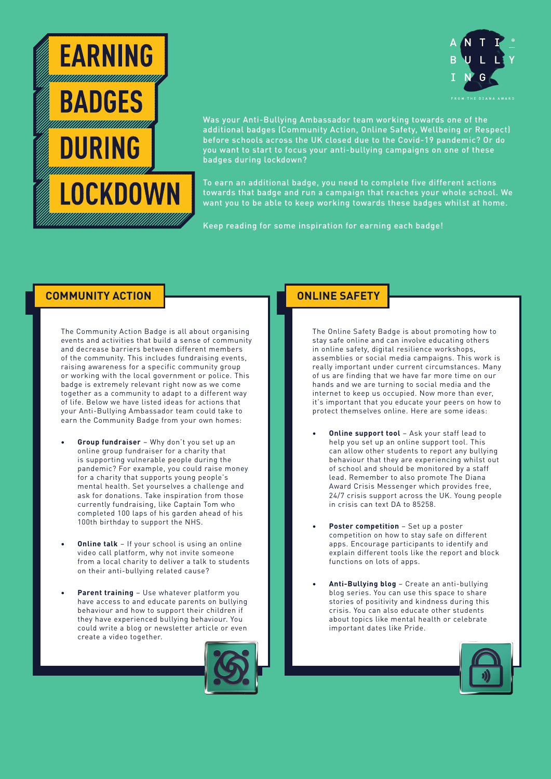



Was your Anti-Bullying Ambassador team working towards one of the additional badges (Community Action, Online Safety, Wellbeing or Respect) before schools across the UK closed due to the Covid-19 pandemic? Or do you want to start to focus your anti-bullying campaigns on one of these badges during lockdown?

To earn an additional badge, you need to complete five different actions towards that badge and run a campaign that reaches your whole school. We want you to be able to keep working towards these badges whilst at home.

Keep reading for some inspiration for earning each badge!

## **COMMUNITY ACTION**

The Community Action Badge is all about organising events and activities that build a sense of community and decrease barriers between different members of the community. This includes fundraising events, raising awareness for a specific community group or working with the local government or police. This badge is extremely relevant right now as we come together as a community to adapt to a different way of life. Below we have listed ideas for actions that your Anti-Bullying Ambassador team could take to earn the Community Badge from your own homes:

- **• Group fundraiser** Why don't you set up an online group fundraiser for a charity that is supporting vulnerable people during the pandemic? For example, you could raise money for a charity that supports young people's mental health. Set yourselves a challenge and ask for donations. Take inspiration from those currently fundraising, like Captain Tom who completed 100 laps of his garden ahead of his 100th birthday to support the NHS.
- **Online talk** If your school is using an online video call platform, why not invite someone from a local charity to deliver a talk to students on their anti-bullying related cause?
- **• Parent training** Use whatever platform you have access to and educate parents on bullying behaviour and how to support their children if they have experienced bullying behaviour. You could write a blog or newsletter article or even create a video together.



## **ONLINE SAFETY**

The Online Safety Badge is about promoting how to stay safe online and can involve educating others in online safety, digital resilience workshops, assemblies or social media campaigns. This work is really important under current circumstances. Many of us are finding that we have far more time on our hands and we are turning to social media and the internet to keep us occupied. Now more than ever, it's important that you educate your peers on how to protect themselves online. Here are some ideas:

- **Online support tool** Ask your staff lead to help you set up an online support tool. This can allow other students to report any bullying behaviour that they are experiencing whilst out of school and should be monitored by a staff lead. Remember to also promote The Diana Award Crisis Messenger which provides free, 24/7 crisis support across the UK. Young people in crisis can text DA to 85258.
- **• Poster competition** Set up a poster competition on how to stay safe on different apps. Encourage participants to identify and explain different tools like the report and block functions on lots of apps.
- **• Anti-Bullying blog**  Create an anti-bullying blog series. You can use this space to share stories of positivity and kindness during this crisis. You can also educate other students about topics like mental health or celebrate important dates like Pride.